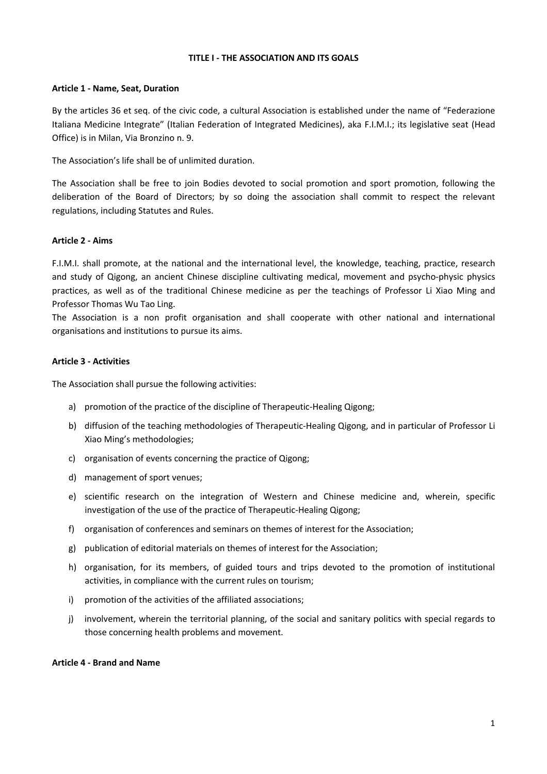#### TITLE I - THE ASSOCIATION AND ITS GOALS

#### Article 1 - Name, Seat, Duration

By the articles 36 et seq. of the civic code, a cultural Association is established under the name of "Federazione Italiana Medicine Integrate" (Italian Federation of Integrated Medicines), aka F.I.M.I.; its legislative seat (Head Office) is in Milan, Via Bronzino n. 9.

The Association's life shall be of unlimited duration.

The Association shall be free to join Bodies devoted to social promotion and sport promotion, following the deliberation of the Board of Directors; by so doing the association shall commit to respect the relevant regulations, including Statutes and Rules.

### Article 2 - Aims

F.I.M.I. shall promote, at the national and the international level, the knowledge, teaching, practice, research and study of Qigong, an ancient Chinese discipline cultivating medical, movement and psycho-physic physics practices, as well as of the traditional Chinese medicine as per the teachings of Professor Li Xiao Ming and Professor Thomas Wu Tao Ling.

The Association is a non profit organisation and shall cooperate with other national and international organisations and institutions to pursue its aims.

### Article 3 - Activities

The Association shall pursue the following activities:

- a) promotion of the practice of the discipline of Therapeutic-Healing Qigong;
- b) diffusion of the teaching methodologies of Therapeutic-Healing Qigong, and in particular of Professor Li Xiao Ming's methodologies;
- c) organisation of events concerning the practice of Qigong;
- d) management of sport venues;
- e) scientific research on the integration of Western and Chinese medicine and, wherein, specific investigation of the use of the practice of Therapeutic-Healing Qigong;
- f) organisation of conferences and seminars on themes of interest for the Association;
- g) publication of editorial materials on themes of interest for the Association;
- h) organisation, for its members, of guided tours and trips devoted to the promotion of institutional activities, in compliance with the current rules on tourism;
- i) promotion of the activities of the affiliated associations;
- j) involvement, wherein the territorial planning, of the social and sanitary politics with special regards to those concerning health problems and movement.

#### Article 4 - Brand and Name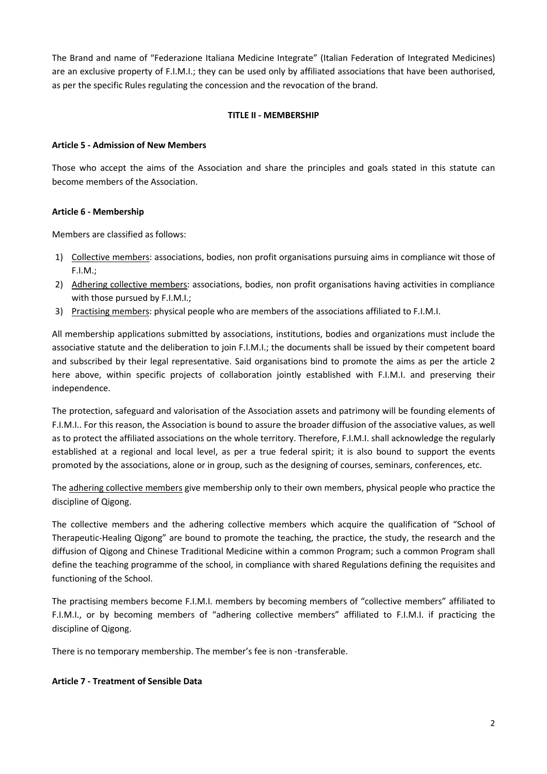The Brand and name of "Federazione Italiana Medicine Integrate" (Italian Federation of Integrated Medicines) are an exclusive property of F.I.M.I.; they can be used only by affiliated associations that have been authorised, as per the specific Rules regulating the concession and the revocation of the brand.

## TITLE II - MEMBERSHIP

### Article 5 - Admission of New Members

Those who accept the aims of the Association and share the principles and goals stated in this statute can become members of the Association.

### Article 6 - Membership

Members are classified as follows:

- 1) Collective members: associations, bodies, non profit organisations pursuing aims in compliance wit those of F.I.M.;
- 2) Adhering collective members: associations, bodies, non profit organisations having activities in compliance with those pursued by F.I.M.I.;
- 3) Practising members: physical people who are members of the associations affiliated to F.I.M.I.

All membership applications submitted by associations, institutions, bodies and organizations must include the associative statute and the deliberation to join F.I.M.I.; the documents shall be issued by their competent board and subscribed by their legal representative. Said organisations bind to promote the aims as per the article 2 here above, within specific projects of collaboration jointly established with F.I.M.I. and preserving their independence.

The protection, safeguard and valorisation of the Association assets and patrimony will be founding elements of F.I.M.I.. For this reason, the Association is bound to assure the broader diffusion of the associative values, as well as to protect the affiliated associations on the whole territory. Therefore, F.I.M.I. shall acknowledge the regularly established at a regional and local level, as per a true federal spirit; it is also bound to support the events promoted by the associations, alone or in group, such as the designing of courses, seminars, conferences, etc.

The adhering collective members give membership only to their own members, physical people who practice the discipline of Qigong.

The collective members and the adhering collective members which acquire the qualification of "School of Therapeutic-Healing Qigong" are bound to promote the teaching, the practice, the study, the research and the diffusion of Qigong and Chinese Traditional Medicine within a common Program; such a common Program shall define the teaching programme of the school, in compliance with shared Regulations defining the requisites and functioning of the School.

The practising members become F.I.M.I. members by becoming members of "collective members" affiliated to F.I.M.I., or by becoming members of "adhering collective members" affiliated to F.I.M.I. if practicing the discipline of Qigong.

There is no temporary membership. The member's fee is non -transferable.

#### Article 7 - Treatment of Sensible Data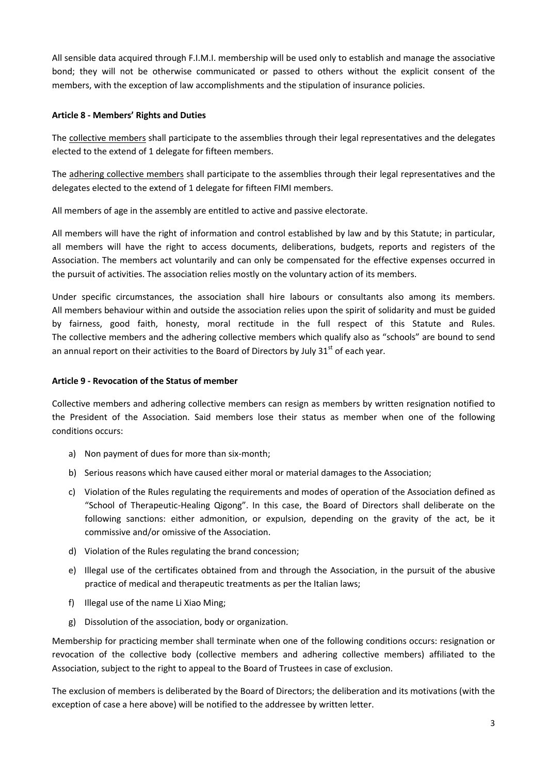All sensible data acquired through F.I.M.I. membership will be used only to establish and manage the associative bond; they will not be otherwise communicated or passed to others without the explicit consent of the members, with the exception of law accomplishments and the stipulation of insurance policies.

## Article 8 - Members' Rights and Duties

The collective members shall participate to the assemblies through their legal representatives and the delegates elected to the extend of 1 delegate for fifteen members.

The adhering collective members shall participate to the assemblies through their legal representatives and the delegates elected to the extend of 1 delegate for fifteen FIMI members.

All members of age in the assembly are entitled to active and passive electorate.

All members will have the right of information and control established by law and by this Statute; in particular, all members will have the right to access documents, deliberations, budgets, reports and registers of the Association. The members act voluntarily and can only be compensated for the effective expenses occurred in the pursuit of activities. The association relies mostly on the voluntary action of its members.

Under specific circumstances, the association shall hire labours or consultants also among its members. All members behaviour within and outside the association relies upon the spirit of solidarity and must be guided by fairness, good faith, honesty, moral rectitude in the full respect of this Statute and Rules. The collective members and the adhering collective members which qualify also as "schools" are bound to send an annual report on their activities to the Board of Directors by July  $31<sup>st</sup>$  of each year.

### Article 9 - Revocation of the Status of member

Collective members and adhering collective members can resign as members by written resignation notified to the President of the Association. Said members lose their status as member when one of the following conditions occurs:

- a) Non payment of dues for more than six-month;
- b) Serious reasons which have caused either moral or material damages to the Association;
- c) Violation of the Rules regulating the requirements and modes of operation of the Association defined as "School of Therapeutic-Healing Qigong". In this case, the Board of Directors shall deliberate on the following sanctions: either admonition, or expulsion, depending on the gravity of the act, be it commissive and/or omissive of the Association.
- d) Violation of the Rules regulating the brand concession;
- e) Illegal use of the certificates obtained from and through the Association, in the pursuit of the abusive practice of medical and therapeutic treatments as per the Italian laws;
- f) Illegal use of the name Li Xiao Ming;
- g) Dissolution of the association, body or organization.

Membership for practicing member shall terminate when one of the following conditions occurs: resignation or revocation of the collective body (collective members and adhering collective members) affiliated to the Association, subject to the right to appeal to the Board of Trustees in case of exclusion.

The exclusion of members is deliberated by the Board of Directors; the deliberation and its motivations (with the exception of case a here above) will be notified to the addressee by written letter.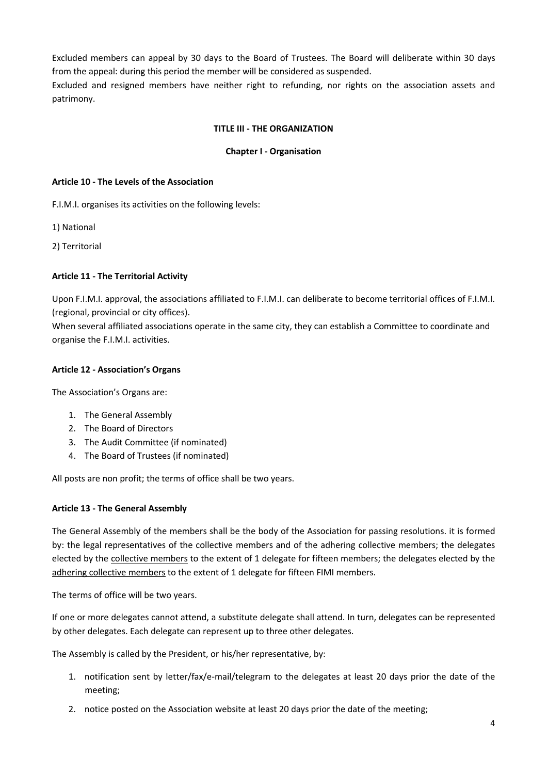Excluded members can appeal by 30 days to the Board of Trustees. The Board will deliberate within 30 days from the appeal: during this period the member will be considered as suspended.

Excluded and resigned members have neither right to refunding, nor rights on the association assets and patrimony.

### TITLE III - THE ORGANIZATION

### Chapter I - Organisation

#### Article 10 - The Levels of the Association

F.I.M.I. organises its activities on the following levels:

- 1) National
- 2) Territorial

### Article 11 - The Territorial Activity

Upon F.I.M.I. approval, the associations affiliated to F.I.M.I. can deliberate to become territorial offices of F.I.M.I. (regional, provincial or city offices).

When several affiliated associations operate in the same city, they can establish a Committee to coordinate and organise the F.I.M.I. activities.

#### Article 12 - Association's Organs

The Association's Organs are:

- 1. The General Assembly
- 2. The Board of Directors
- 3. The Audit Committee (if nominated)
- 4. The Board of Trustees (if nominated)

All posts are non profit; the terms of office shall be two years.

#### Article 13 - The General Assembly

The General Assembly of the members shall be the body of the Association for passing resolutions. it is formed by: the legal representatives of the collective members and of the adhering collective members; the delegates elected by the collective members to the extent of 1 delegate for fifteen members; the delegates elected by the adhering collective members to the extent of 1 delegate for fifteen FIMI members.

The terms of office will be two years.

If one or more delegates cannot attend, a substitute delegate shall attend. In turn, delegates can be represented by other delegates. Each delegate can represent up to three other delegates.

The Assembly is called by the President, or his/her representative, by:

- 1. notification sent by letter/fax/e-mail/telegram to the delegates at least 20 days prior the date of the meeting;
- 2. notice posted on the Association website at least 20 days prior the date of the meeting;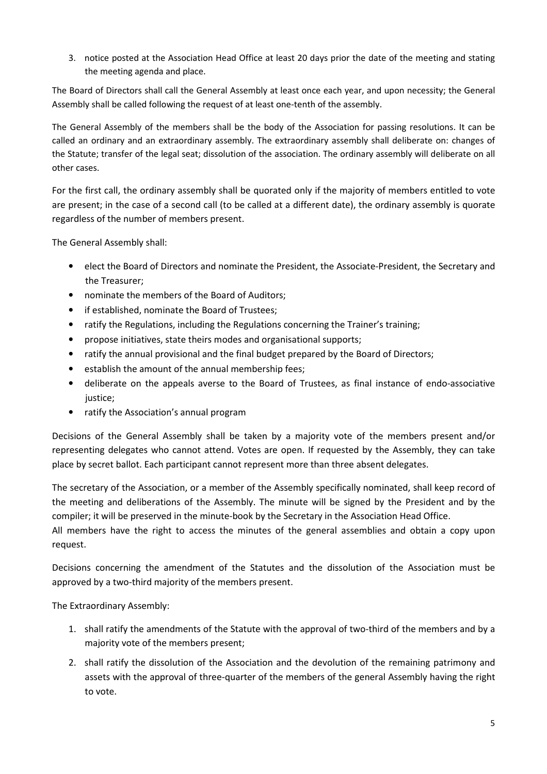3. notice posted at the Association Head Office at least 20 days prior the date of the meeting and stating the meeting agenda and place.

The Board of Directors shall call the General Assembly at least once each year, and upon necessity; the General Assembly shall be called following the request of at least one-tenth of the assembly.

The General Assembly of the members shall be the body of the Association for passing resolutions. It can be called an ordinary and an extraordinary assembly. The extraordinary assembly shall deliberate on: changes of the Statute; transfer of the legal seat; dissolution of the association. The ordinary assembly will deliberate on all other cases.

For the first call, the ordinary assembly shall be quorated only if the majority of members entitled to vote are present; in the case of a second call (to be called at a different date), the ordinary assembly is quorate regardless of the number of members present.

The General Assembly shall:

- elect the Board of Directors and nominate the President, the Associate-President, the Secretary and the Treasurer;
- nominate the members of the Board of Auditors;
- if established, nominate the Board of Trustees;
- ratify the Regulations, including the Regulations concerning the Trainer's training;
- propose initiatives, state theirs modes and organisational supports;
- ratify the annual provisional and the final budget prepared by the Board of Directors;
- establish the amount of the annual membership fees;
- deliberate on the appeals averse to the Board of Trustees, as final instance of endo-associative justice;
- ratify the Association's annual program

Decisions of the General Assembly shall be taken by a majority vote of the members present and/or representing delegates who cannot attend. Votes are open. If requested by the Assembly, they can take place by secret ballot. Each participant cannot represent more than three absent delegates.

The secretary of the Association, or a member of the Assembly specifically nominated, shall keep record of the meeting and deliberations of the Assembly. The minute will be signed by the President and by the compiler; it will be preserved in the minute-book by the Secretary in the Association Head Office.

All members have the right to access the minutes of the general assemblies and obtain a copy upon request.

Decisions concerning the amendment of the Statutes and the dissolution of the Association must be approved by a two-third majority of the members present.

The Extraordinary Assembly:

- 1. shall ratify the amendments of the Statute with the approval of two-third of the members and by a majority vote of the members present;
- 2. shall ratify the dissolution of the Association and the devolution of the remaining patrimony and assets with the approval of three-quarter of the members of the general Assembly having the right to vote.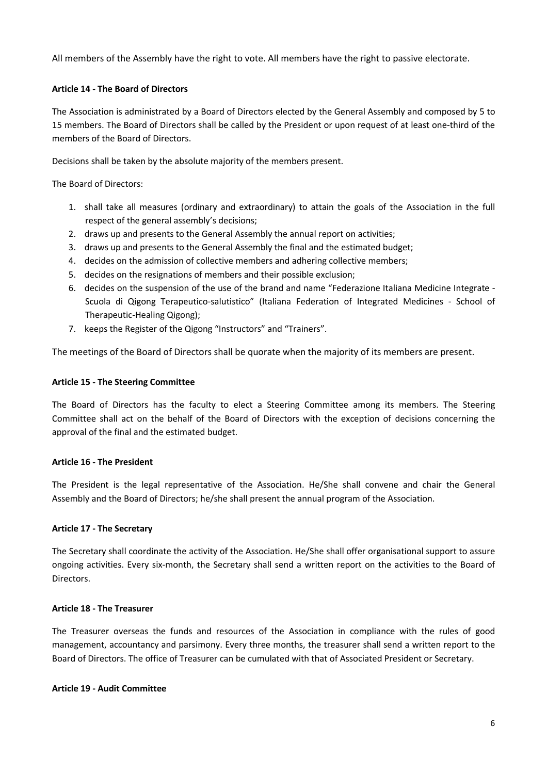All members of the Assembly have the right to vote. All members have the right to passive electorate.

## Article 14 - The Board of Directors

The Association is administrated by a Board of Directors elected by the General Assembly and composed by 5 to 15 members. The Board of Directors shall be called by the President or upon request of at least one-third of the members of the Board of Directors.

Decisions shall be taken by the absolute majority of the members present.

The Board of Directors:

- 1. shall take all measures (ordinary and extraordinary) to attain the goals of the Association in the full respect of the general assembly's decisions;
- 2. draws up and presents to the General Assembly the annual report on activities;
- 3. draws up and presents to the General Assembly the final and the estimated budget;
- 4. decides on the admission of collective members and adhering collective members;
- 5. decides on the resignations of members and their possible exclusion;
- 6. decides on the suspension of the use of the brand and name "Federazione Italiana Medicine Integrate Scuola di Qigong Terapeutico-salutistico" (Italiana Federation of Integrated Medicines - School of Therapeutic-Healing Qigong);
- 7. keeps the Register of the Qigong "Instructors" and "Trainers".

The meetings of the Board of Directors shall be quorate when the majority of its members are present.

## Article 15 - The Steering Committee

The Board of Directors has the faculty to elect a Steering Committee among its members. The Steering Committee shall act on the behalf of the Board of Directors with the exception of decisions concerning the approval of the final and the estimated budget.

### Article 16 - The President

The President is the legal representative of the Association. He/She shall convene and chair the General Assembly and the Board of Directors; he/she shall present the annual program of the Association.

### Article 17 - The Secretary

The Secretary shall coordinate the activity of the Association. He/She shall offer organisational support to assure ongoing activities. Every six-month, the Secretary shall send a written report on the activities to the Board of Directors.

### Article 18 - The Treasurer

The Treasurer overseas the funds and resources of the Association in compliance with the rules of good management, accountancy and parsimony. Every three months, the treasurer shall send a written report to the Board of Directors. The office of Treasurer can be cumulated with that of Associated President or Secretary.

### Article 19 - Audit Committee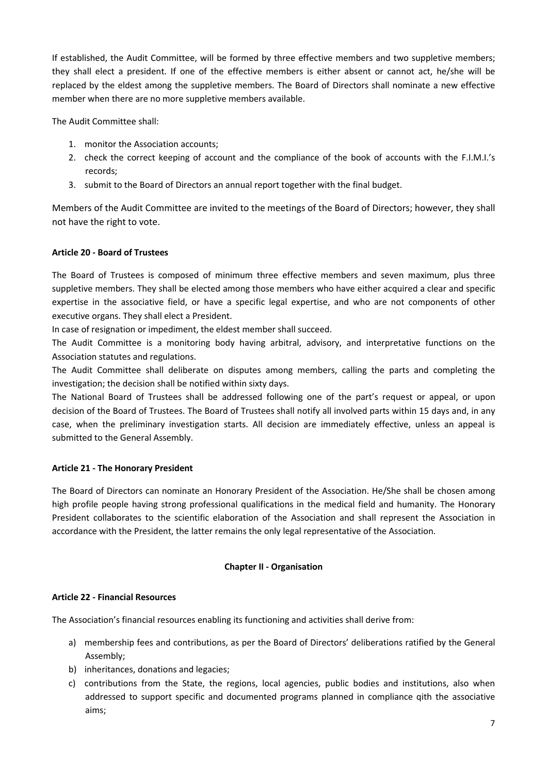If established, the Audit Committee, will be formed by three effective members and two suppletive members; they shall elect a president. If one of the effective members is either absent or cannot act, he/she will be replaced by the eldest among the suppletive members. The Board of Directors shall nominate a new effective member when there are no more suppletive members available.

The Audit Committee shall:

- 1. monitor the Association accounts;
- 2. check the correct keeping of account and the compliance of the book of accounts with the F.I.M.I.'s records;
- 3. submit to the Board of Directors an annual report together with the final budget.

Members of the Audit Committee are invited to the meetings of the Board of Directors; however, they shall not have the right to vote.

## Article 20 - Board of Trustees

The Board of Trustees is composed of minimum three effective members and seven maximum, plus three suppletive members. They shall be elected among those members who have either acquired a clear and specific expertise in the associative field, or have a specific legal expertise, and who are not components of other executive organs. They shall elect a President.

In case of resignation or impediment, the eldest member shall succeed.

The Audit Committee is a monitoring body having arbitral, advisory, and interpretative functions on the Association statutes and regulations.

The Audit Committee shall deliberate on disputes among members, calling the parts and completing the investigation; the decision shall be notified within sixty days.

The National Board of Trustees shall be addressed following one of the part's request or appeal, or upon decision of the Board of Trustees. The Board of Trustees shall notify all involved parts within 15 days and, in any case, when the preliminary investigation starts. All decision are immediately effective, unless an appeal is submitted to the General Assembly.

# Article 21 - The Honorary President

The Board of Directors can nominate an Honorary President of the Association. He/She shall be chosen among high profile people having strong professional qualifications in the medical field and humanity. The Honorary President collaborates to the scientific elaboration of the Association and shall represent the Association in accordance with the President, the latter remains the only legal representative of the Association.

### Chapter II - Organisation

### Article 22 - Financial Resources

The Association's financial resources enabling its functioning and activities shall derive from:

- a) membership fees and contributions, as per the Board of Directors' deliberations ratified by the General Assembly;
- b) inheritances, donations and legacies;
- c) contributions from the State, the regions, local agencies, public bodies and institutions, also when addressed to support specific and documented programs planned in compliance qith the associative aims;